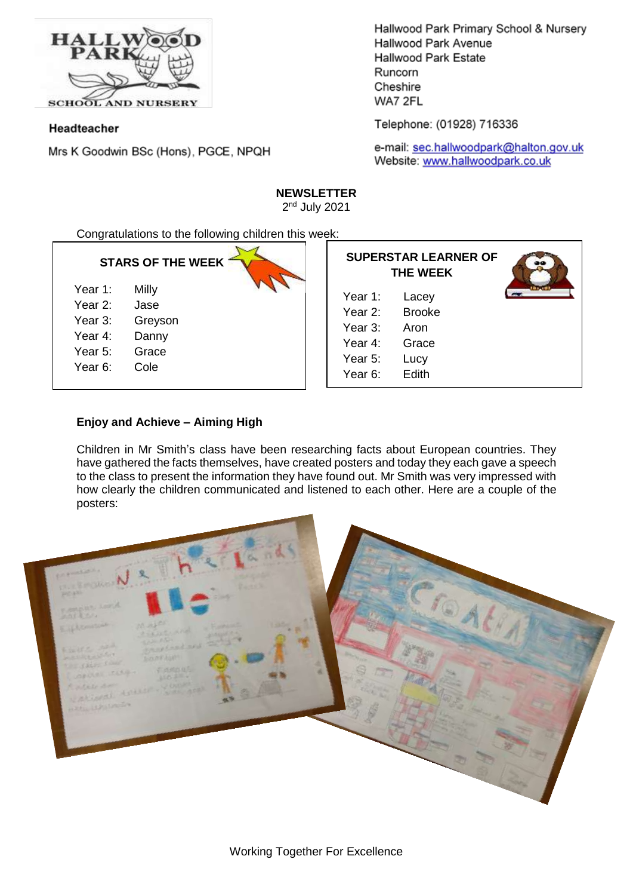

Headteacher

Mrs K Goodwin BSc (Hons), PGCE, NPQH

Hallwood Park Primary School & Nursery Hallwood Park Avenue **Hallwood Park Estate** Runcorn Cheshire WA7 2FL

Telephone: (01928) 716336

e-mail: sec.hallwoodpark@halton.gov.uk Website: www.hallwoodpark.co.uk

# **NEWSLETTER**

2<sup>nd</sup> July 2021

Congratulations to the following children this week:

# **STARS OF THE WEEK**

| Year 1: | Milly |
|---------|-------|

- Year 2: Jase
- Year 3: Greyson
- Year  $4$ <sup>.</sup>
- Year 5: Grace
- Year 6: Cole

| Danny |
|-------|
|       |

- 
- 

| <b>SUPERSTAR LEARNER OF</b><br><b>THE WEEK</b> |               |  |
|------------------------------------------------|---------------|--|
| Year 1:                                        | Lacey         |  |
| Year 2:                                        | <b>Brooke</b> |  |
| Year 3:                                        | Aron          |  |
| Year 4:                                        | Grace         |  |
| Year 5:                                        | Lucy          |  |
| Year 6:                                        | Edith         |  |

# **Enjoy and Achieve – Aiming High**

Children in Mr Smith's class have been researching facts about European countries. They have gathered the facts themselves, have created posters and today they each gave a speech to the class to present the information they have found out. Mr Smith was very impressed with how clearly the children communicated and listened to each other. Here are a couple of the posters:

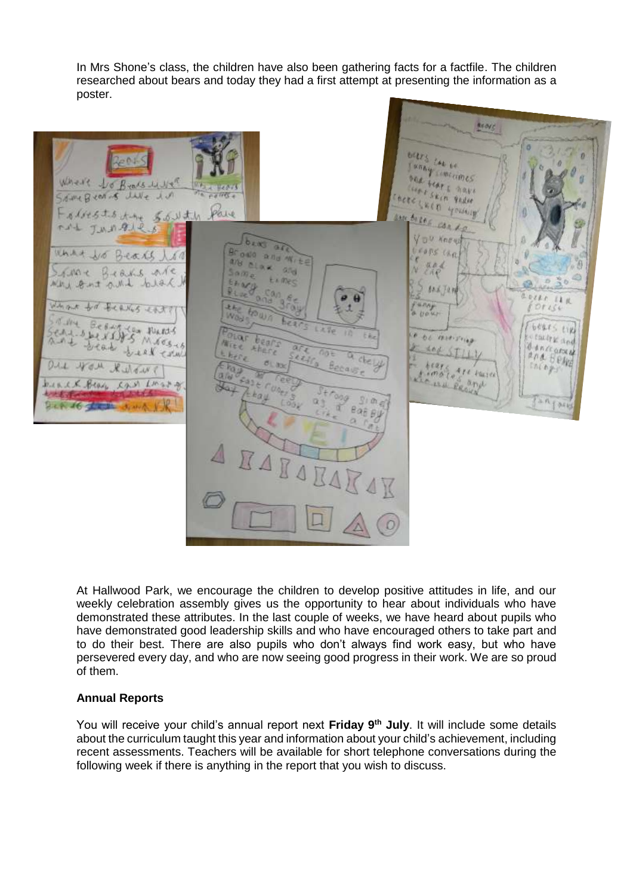In Mrs Shone's class, the children have also been gathering facts for a factfile. The children researched about bears and today they had a first attempt at presenting the information as a poster.



At Hallwood Park, we encourage the children to develop positive attitudes in life, and our weekly celebration assembly gives us the opportunity to hear about individuals who have demonstrated these attributes. In the last couple of weeks, we have heard about pupils who have demonstrated good leadership skills and who have encouraged others to take part and to do their best. There are also pupils who don't always find work easy, but who have persevered every day, and who are now seeing good progress in their work. We are so proud of them.

## **Annual Reports**

You will receive your child's annual report next **Friday 9 th July**. It will include some details about the curriculum taught this year and information about your child's achievement, including recent assessments. Teachers will be available for short telephone conversations during the following week if there is anything in the report that you wish to discuss.